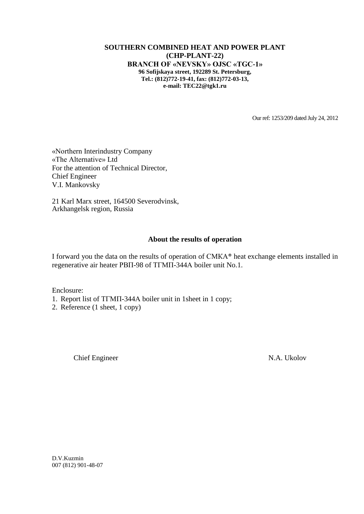## **SOUTHERN COMBINED HEAT AND POWER PLANT (CHP-PLANT-22) BRANCH OF «NEVSKY» OJSC «TGC-1» 96 Sofijskaya street, 192289 St. Petersburg, Tel.: (812)772-19-41, fax: (812)772-03-13, e-mail: TEC22@tgk1.ru**

Our ref: 1253/209 dated July 24, 2012

«Northern Interindustry Company «The Alternative» Ltd For the attention of Technical Director, Chief Engineer V.I. Mankovsky

21 Karl Marx street, 164500 Severodvinsk, Arkhangelsk region, Russia

## **About the results of operation**

I forward you the data on the results of operation of СМКА® heat exchange elements installed in regenerative air heater РВП-98 of ТГМП-344А boiler unit No.1.

Enclosure:

- 1. Report list of ТГМП-344А boiler unit in 1sheet in 1 copy;
- 2. Reference (1 sheet, 1 copy)

Chief Engineer N.A. Ukolov

D.V.Kuzmin 007 (812) 901-48-07